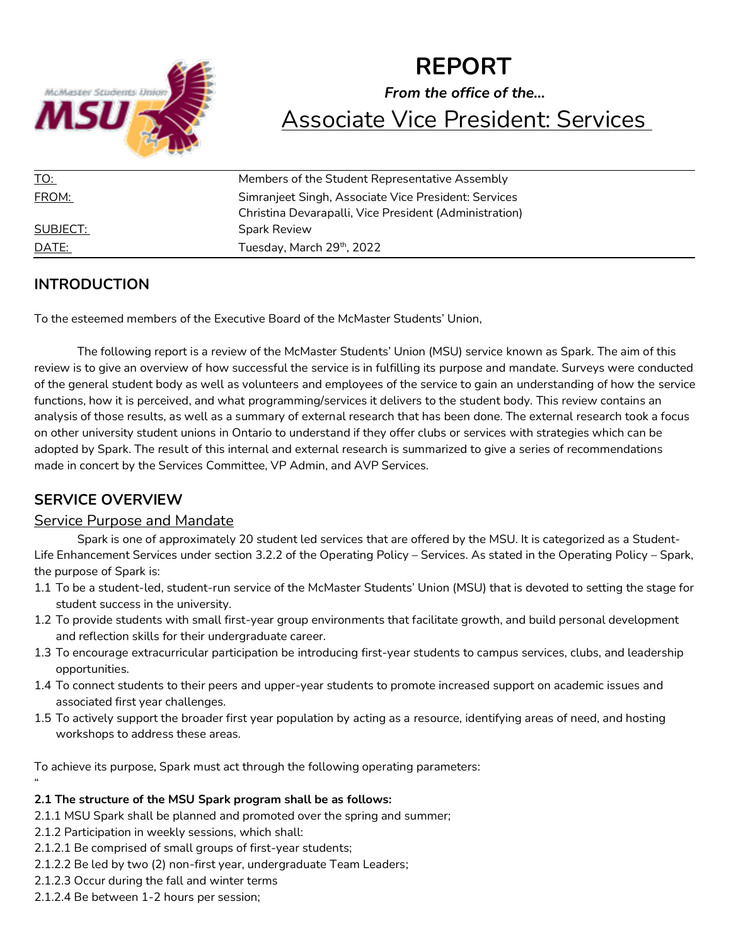

# **REPORT** *From the office of the…* Associate Vice President: Services

| <u>TO:</u>   | Members of the Student Representative Assembly         |
|--------------|--------------------------------------------------------|
| FROM:        | Simranjeet Singh, Associate Vice President: Services   |
|              | Christina Devarapalli, Vice President (Administration) |
| SUBJECT:     | <b>Spark Review</b>                                    |
| <u>DATE:</u> | Tuesday, March 29th, 2022                              |

# **INTRODUCTION**

To the esteemed members of the Executive Board of the McMaster Students' Union,

The following report is a review of the McMaster Students' Union (MSU) service known as Spark. The aim of this review is to give an overview of how successful the service is in fulfilling its purpose and mandate. Surveys were conducted of the general student body as well as volunteers and employees of the service to gain an understanding of how the service functions, how it is perceived, and what programming/services it delivers to the student body. This review contains an analysis of those results, as well as a summary of external research that has been done. The external research took a focus on other university student unions in Ontario to understand if they offer clubs or services with strategies which can be adopted by Spark. The result of this internal and external research is summarized to give a series of recommendations made in concert by the Services Committee, VP Admin, and AVP Services.

# **SERVICE OVERVIEW**

### Service Purpose and Mandate

Spark is one of approximately 20 student led services that are offered by the MSU. It is categorized as a Student-Life Enhancement Services under section 3.2.2 of the Operating Policy – Services. As stated in the Operating Policy – Spark, the purpose of Spark is:

- 1.1 To be a student-led, student-run service of the McMaster Students' Union (MSU) that is devoted to setting the stage for student success in the university.
- 1.2 To provide students with small first-year group environments that facilitate growth, and build personal development and reflection skills for their undergraduate career.
- 1.3 To encourage extracurricular participation be introducing first-year students to campus services, clubs, and leadership opportunities.
- 1.4 To connect students to their peers and upper-year students to promote increased support on academic issues and associated first year challenges.
- 1.5 To actively support the broader first year population by acting as a resource, identifying areas of need, and hosting workshops to address these areas.

To achieve its purpose, Spark must act through the following operating parameters: "

# **2.1 The structure of the MSU Spark program shall be as follows:**

- 2.1.1 MSU Spark shall be planned and promoted over the spring and summer;
- 2.1.2 Participation in weekly sessions, which shall:
- 2.1.2.1 Be comprised of small groups of first-year students;
- 2.1.2.2 Be led by two (2) non-first year, undergraduate Team Leaders;
- 2.1.2.3 Occur during the fall and winter terms
- 2.1.2.4 Be between 1-2 hours per session;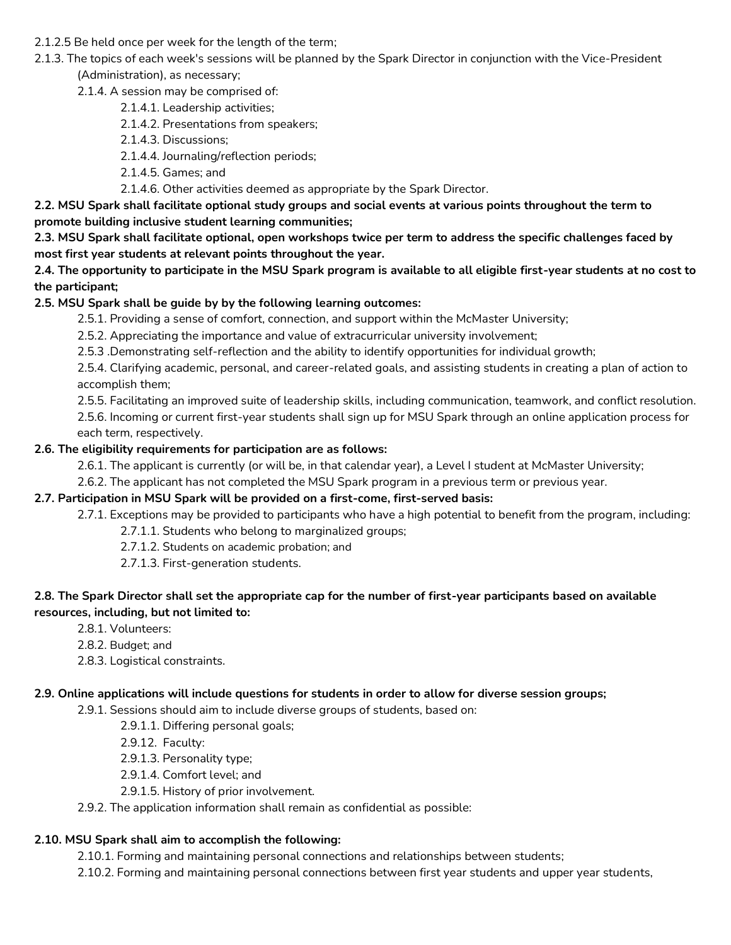- 2.1.2.5 Be held once per week for the length of the term;
- 2.1.3. The topics of each week's sessions will be planned by the Spark Director in conjunction with the Vice-President (Administration), as necessary;
	- 2.1.4. A session may be comprised of:
		- 2.1.4.1. Leadership activities;
		- 2.1.4.2. Presentations from speakers;
		- 2.1.4.3. Discussions;
		- 2.1.4.4. Journaling/reflection periods;
		- 2.1.4.5. Games; and
		- 2.1.4.6. Other activities deemed as appropriate by the Spark Director.

**2.2. MSU Spark shall facilitate optional study groups and social events at various points throughout the term to promote building inclusive student learning communities;**

**2.3. MSU Spark shall facilitate optional, open workshops twice per term to address the specific challenges faced by most first year students at relevant points throughout the year.**

**2.4. The opportunity to participate in the MSU Spark program is available to all eligible first-year students at no cost to the participant;**

#### **2.5. MSU Spark shall be guide by by the following learning outcomes:**

2.5.1. Providing a sense of comfort, connection, and support within the McMaster University;

2.5.2. Appreciating the importance and value of extracurricular university involvement;

2.5.3 .Demonstrating self-reflection and the ability to identify opportunities for individual growth;

2.5.4. Clarifying academic, personal, and career-related goals, and assisting students in creating a plan of action to accomplish them;

2.5.5. Facilitating an improved suite of leadership skills, including communication, teamwork, and conflict resolution.

2.5.6. Incoming or current first-year students shall sign up for MSU Spark through an online application process for each term, respectively.

#### **2.6. The eligibility requirements for participation are as follows:**

2.6.1. The applicant is currently (or will be, in that calendar year), a Level I student at McMaster University;

2.6.2. The applicant has not completed the MSU Spark program in a previous term or previous year.

#### **2.7. Participation in MSU Spark will be provided on a first-come, first-served basis:**

2.7.1. Exceptions may be provided to participants who have a high potential to benefit from the program, including:

- 2.7.1.1. Students who belong to marginalized groups;
- 2.7.1.2. Students on academic probation; and
- 2.7.1.3. First-generation students.

#### **2.8. The Spark Director shall set the appropriate cap for the number of first-year participants based on available resources, including, but not limited to:**

- 2.8.1. Volunteers:
- 2.8.2. Budget; and
- 2.8.3. Logistical constraints.

#### **2.9. Online applications will include questions for students in order to allow for diverse session groups;**

2.9.1. Sessions should aim to include diverse groups of students, based on:

- 2.9.1.1. Differing personal goals;
- 2.9.12. Faculty:
- 2.9.1.3. Personality type;
- 2.9.1.4. Comfort level; and
- 2.9.1.5. History of prior involvement.

#### 2.9.2. The application information shall remain as confidential as possible:

# **2.10. MSU Spark shall aim to accomplish the following:**

2.10.1. Forming and maintaining personal connections and relationships between students;

2.10.2. Forming and maintaining personal connections between first year students and upper year students,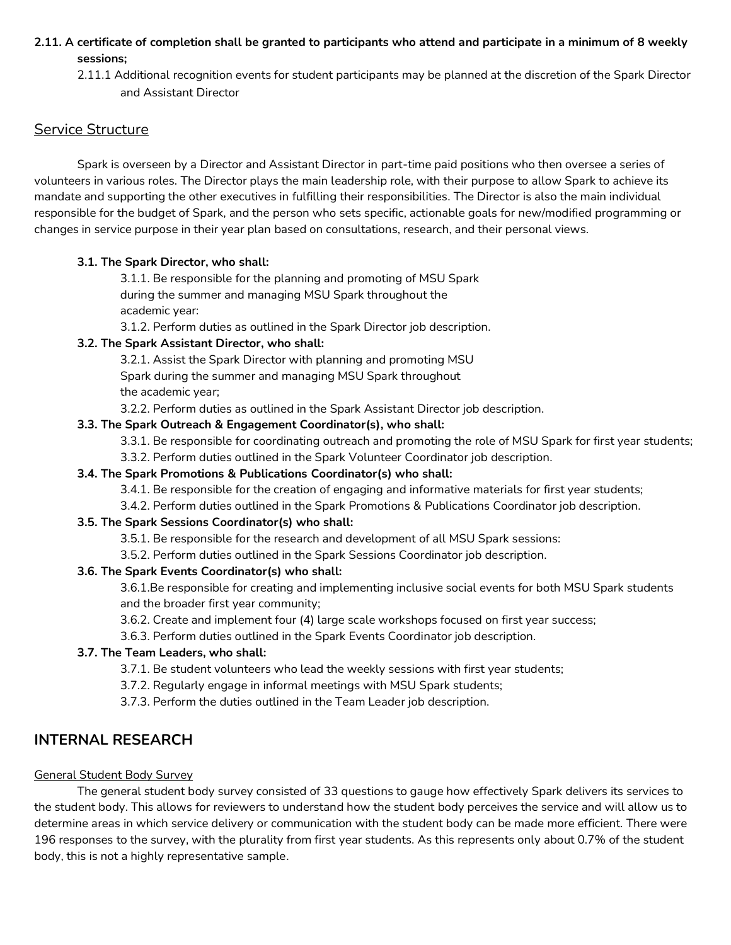- **2.11. A certificate of completion shall be granted to participants who attend and participate in a minimum of 8 weekly sessions;**
	- 2.11.1 Additional recognition events for student participants may be planned at the discretion of the Spark Director and Assistant Director

#### Service Structure

Spark is overseen by a Director and Assistant Director in part-time paid positions who then oversee a series of volunteers in various roles. The Director plays the main leadership role, with their purpose to allow Spark to achieve its mandate and supporting the other executives in fulfilling their responsibilities. The Director is also the main individual responsible for the budget of Spark, and the person who sets specific, actionable goals for new/modified programming or changes in service purpose in their year plan based on consultations, research, and their personal views.

#### **3.1. The Spark Director, who shall:**

3.1.1. Be responsible for the planning and promoting of MSU Spark during the summer and managing MSU Spark throughout the academic year:

3.1.2. Perform duties as outlined in the Spark Director job description.

#### **3.2. The Spark Assistant Director, who shall:**

3.2.1. Assist the Spark Director with planning and promoting MSU

Spark during the summer and managing MSU Spark throughout the academic year;

3.2.2. Perform duties as outlined in the Spark Assistant Director job description.

#### **3.3. The Spark Outreach & Engagement Coordinator(s), who shall:**

3.3.1. Be responsible for coordinating outreach and promoting the role of MSU Spark for first year students;

3.3.2. Perform duties outlined in the Spark Volunteer Coordinator job description.

#### **3.4. The Spark Promotions & Publications Coordinator(s) who shall:**

- 3.4.1. Be responsible for the creation of engaging and informative materials for first year students;
- 3.4.2. Perform duties outlined in the Spark Promotions & Publications Coordinator job description.

#### **3.5. The Spark Sessions Coordinator(s) who shall:**

- 3.5.1. Be responsible for the research and development of all MSU Spark sessions:
- 3.5.2. Perform duties outlined in the Spark Sessions Coordinator job description.

#### **3.6. The Spark Events Coordinator(s) who shall:**

3.6.1.Be responsible for creating and implementing inclusive social events for both MSU Spark students and the broader first year community;

3.6.2. Create and implement four (4) large scale workshops focused on first year success;

3.6.3. Perform duties outlined in the Spark Events Coordinator job description.

#### **3.7. The Team Leaders, who shall:**

- 3.7.1. Be student volunteers who lead the weekly sessions with first year students;
- 3.7.2. Regularly engage in informal meetings with MSU Spark students;
- 3.7.3. Perform the duties outlined in the Team Leader job description.

#### **INTERNAL RESEARCH**

#### General Student Body Survey

The general student body survey consisted of 33 questions to gauge how effectively Spark delivers its services to the student body. This allows for reviewers to understand how the student body perceives the service and will allow us to determine areas in which service delivery or communication with the student body can be made more efficient. There were 196 responses to the survey, with the plurality from first year students. As this represents only about 0.7% of the student body, this is not a highly representative sample.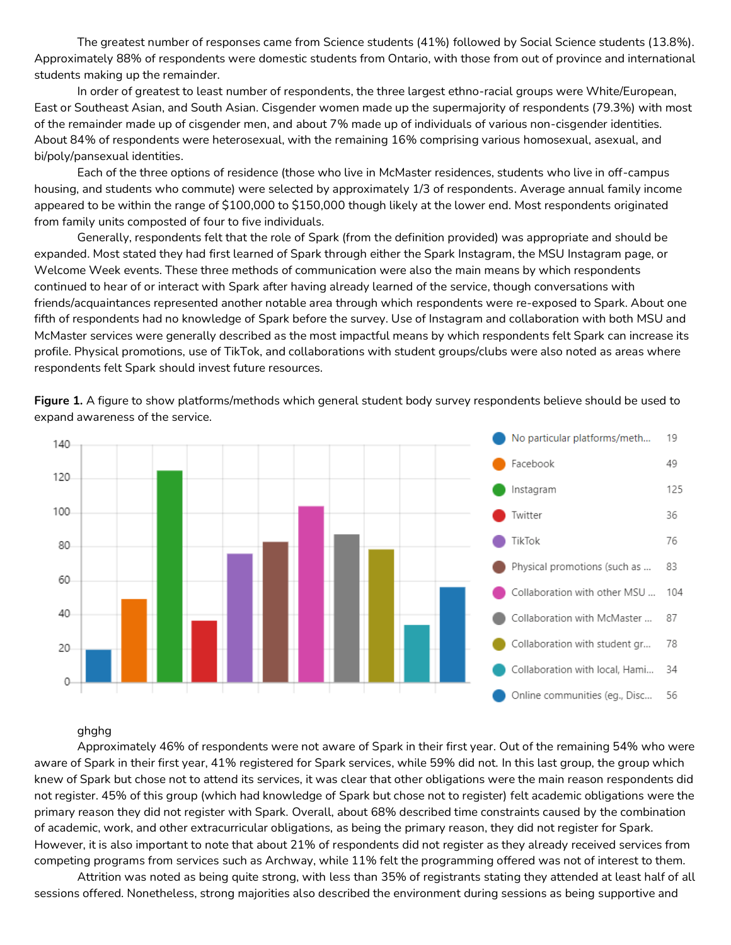The greatest number of responses came from Science students (41%) followed by Social Science students (13.8%). Approximately 88% of respondents were domestic students from Ontario, with those from out of province and international students making up the remainder.

In order of greatest to least number of respondents, the three largest ethno-racial groups were White/European, East or Southeast Asian, and South Asian. Cisgender women made up the supermajority of respondents (79.3%) with most of the remainder made up of cisgender men, and about 7% made up of individuals of various non-cisgender identities. About 84% of respondents were heterosexual, with the remaining 16% comprising various homosexual, asexual, and bi/poly/pansexual identities.

Each of the three options of residence (those who live in McMaster residences, students who live in off-campus housing, and students who commute) were selected by approximately 1/3 of respondents. Average annual family income appeared to be within the range of \$100,000 to \$150,000 though likely at the lower end. Most respondents originated from family units composted of four to five individuals.

Generally, respondents felt that the role of Spark (from the definition provided) was appropriate and should be expanded. Most stated they had first learned of Spark through either the Spark Instagram, the MSU Instagram page, or Welcome Week events. These three methods of communication were also the main means by which respondents continued to hear of or interact with Spark after having already learned of the service, though conversations with friends/acquaintances represented another notable area through which respondents were re-exposed to Spark. About one fifth of respondents had no knowledge of Spark before the survey. Use of Instagram and collaboration with both MSU and McMaster services were generally described as the most impactful means by which respondents felt Spark can increase its profile. Physical promotions, use of TikTok, and collaborations with student groups/clubs were also noted as areas where respondents felt Spark should invest future resources.



**Figure 1.** A figure to show platforms/methods which general student body survey respondents believe should be used to expand awareness of the service.

#### ghghg

Approximately 46% of respondents were not aware of Spark in their first year. Out of the remaining 54% who were aware of Spark in their first year, 41% registered for Spark services, while 59% did not. In this last group, the group which knew of Spark but chose not to attend its services, it was clear that other obligations were the main reason respondents did not register. 45% of this group (which had knowledge of Spark but chose not to register) felt academic obligations were the primary reason they did not register with Spark. Overall, about 68% described time constraints caused by the combination of academic, work, and other extracurricular obligations, as being the primary reason, they did not register for Spark. However, it is also important to note that about 21% of respondents did not register as they already received services from competing programs from services such as Archway, while 11% felt the programming offered was not of interest to them.

Attrition was noted as being quite strong, with less than 35% of registrants stating they attended at least half of all sessions offered. Nonetheless, strong majorities also described the environment during sessions as being supportive and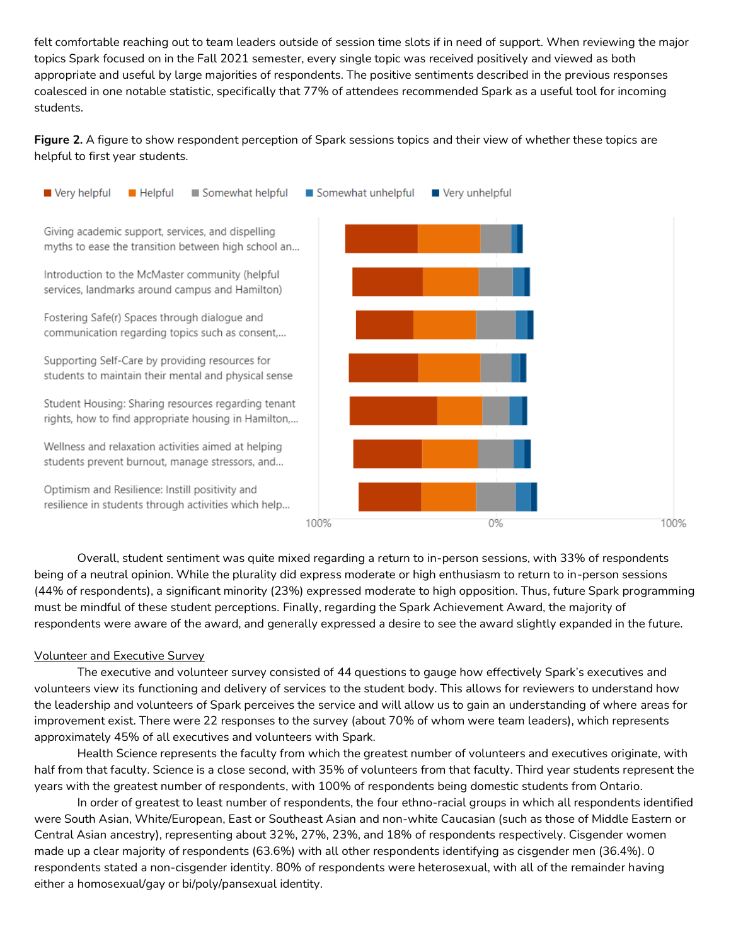felt comfortable reaching out to team leaders outside of session time slots if in need of support. When reviewing the major topics Spark focused on in the Fall 2021 semester, every single topic was received positively and viewed as both appropriate and useful by large majorities of respondents. The positive sentiments described in the previous responses coalesced in one notable statistic, specifically that 77% of attendees recommended Spark as a useful tool for incoming students.

**Figure 2.** A figure to show respondent perception of Spark sessions topics and their view of whether these topics are helpful to first year students.



Overall, student sentiment was quite mixed regarding a return to in-person sessions, with 33% of respondents being of a neutral opinion. While the plurality did express moderate or high enthusiasm to return to in-person sessions (44% of respondents), a significant minority (23%) expressed moderate to high opposition. Thus, future Spark programming must be mindful of these student perceptions. Finally, regarding the Spark Achievement Award, the majority of respondents were aware of the award, and generally expressed a desire to see the award slightly expanded in the future.

#### Volunteer and Executive Survey

The executive and volunteer survey consisted of 44 questions to gauge how effectively Spark's executives and volunteers view its functioning and delivery of services to the student body. This allows for reviewers to understand how the leadership and volunteers of Spark perceives the service and will allow us to gain an understanding of where areas for improvement exist. There were 22 responses to the survey (about 70% of whom were team leaders), which represents approximately 45% of all executives and volunteers with Spark.

Health Science represents the faculty from which the greatest number of volunteers and executives originate, with half from that faculty. Science is a close second, with 35% of volunteers from that faculty. Third year students represent the years with the greatest number of respondents, with 100% of respondents being domestic students from Ontario.

In order of greatest to least number of respondents, the four ethno-racial groups in which all respondents identified were South Asian, White/European, East or Southeast Asian and non-white Caucasian (such as those of Middle Eastern or Central Asian ancestry), representing about 32%, 27%, 23%, and 18% of respondents respectively. Cisgender women made up a clear majority of respondents (63.6%) with all other respondents identifying as cisgender men (36.4%). 0 respondents stated a non-cisgender identity. 80% of respondents were heterosexual, with all of the remainder having either a homosexual/gay or bi/poly/pansexual identity.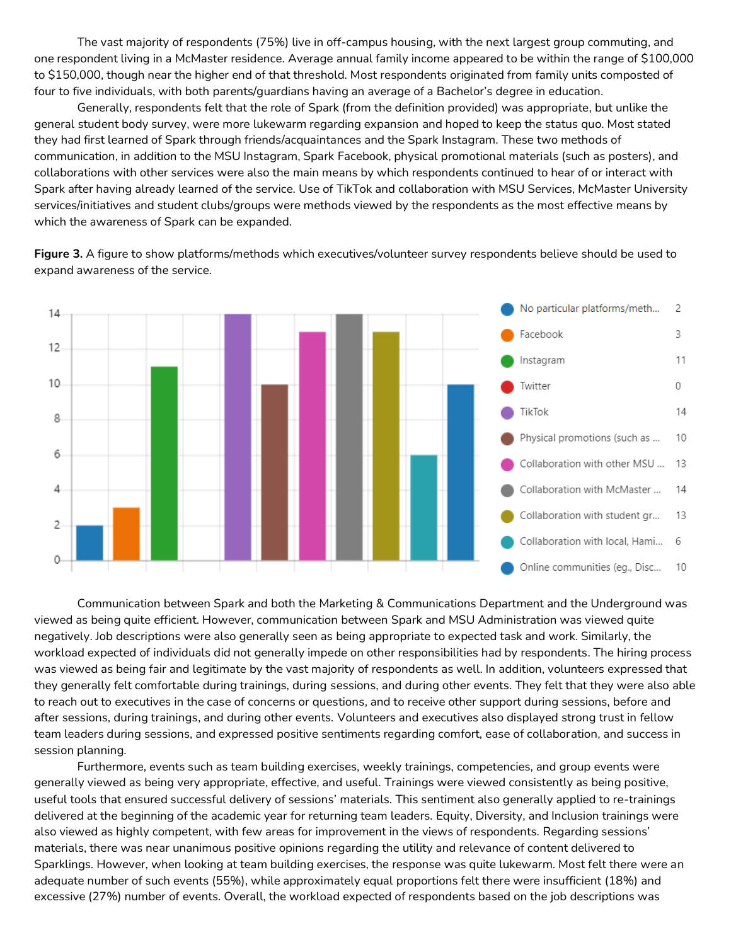The vast majority of respondents (75%) live in off-campus housing, with the next largest group commuting, and one respondent living in a McMaster residence. Average annual family income appeared to be within the range of \$100,000 to \$150,000, though near the higher end of that threshold. Most respondents originated from family units composted of four to five individuals, with both parents/guardians having an average of a Bachelor's degree in education.

Generally, respondents felt that the role of Spark (from the definition provided) was appropriate, but unlike the general student body survey, were more lukewarm regarding expansion and hoped to keep the status quo. Most stated they had first learned of Spark through friends/acquaintances and the Spark Instagram. These two methods of communication, in addition to the MSU Instagram, Spark Facebook, physical promotional materials (such as posters), and collaborations with other services were also the main means by which respondents continued to hear of or interact with Spark after having already learned of the service. Use of TikTok and collaboration with MSU Services, McMaster University services/initiatives and student clubs/groups were methods viewed by the respondents as the most effective means by which the awareness of Spark can be expanded.

**Figure 3.** A figure to show platforms/methods which executives/volunteer survey respondents believe should be used to expand awareness of the service.



Communication between Spark and both the Marketing & Communications Department and the Underground was viewed as being quite efficient. However, communication between Spark and MSU Administration was viewed quite negatively. Job descriptions were also generally seen as being appropriate to expected task and work. Similarly, the workload expected of individuals did not generally impede on other responsibilities had by respondents. The hiring process was viewed as being fair and legitimate by the vast majority of respondents as well. In addition, volunteers expressed that they generally felt comfortable during trainings, during sessions, and during other events. They felt that they were also able to reach out to executives in the case of concerns or questions, and to receive other support during sessions, before and after sessions, during trainings, and during other events. Volunteers and executives also displayed strong trust in fellow team leaders during sessions, and expressed positive sentiments regarding comfort, ease of collaboration, and success in session planning.

Furthermore, events such as team building exercises, weekly trainings, competencies, and group events were generally viewed as being very appropriate, effective, and useful. Trainings were viewed consistently as being positive, useful tools that ensured successful delivery of sessions' materials. This sentiment also generally applied to re-trainings delivered at the beginning of the academic year for returning team leaders. Equity, Diversity, and Inclusion trainings were also viewed as highly competent, with few areas for improvement in the views of respondents. Regarding sessions' materials, there was near unanimous positive opinions regarding the utility and relevance of content delivered to Sparklings. However, when looking at team building exercises, the response was quite lukewarm. Most felt there were an adequate number of such events (55%), while approximately equal proportions felt there were insufficient (18%) and excessive (27%) number of events. Overall, the workload expected of respondents based on the job descriptions was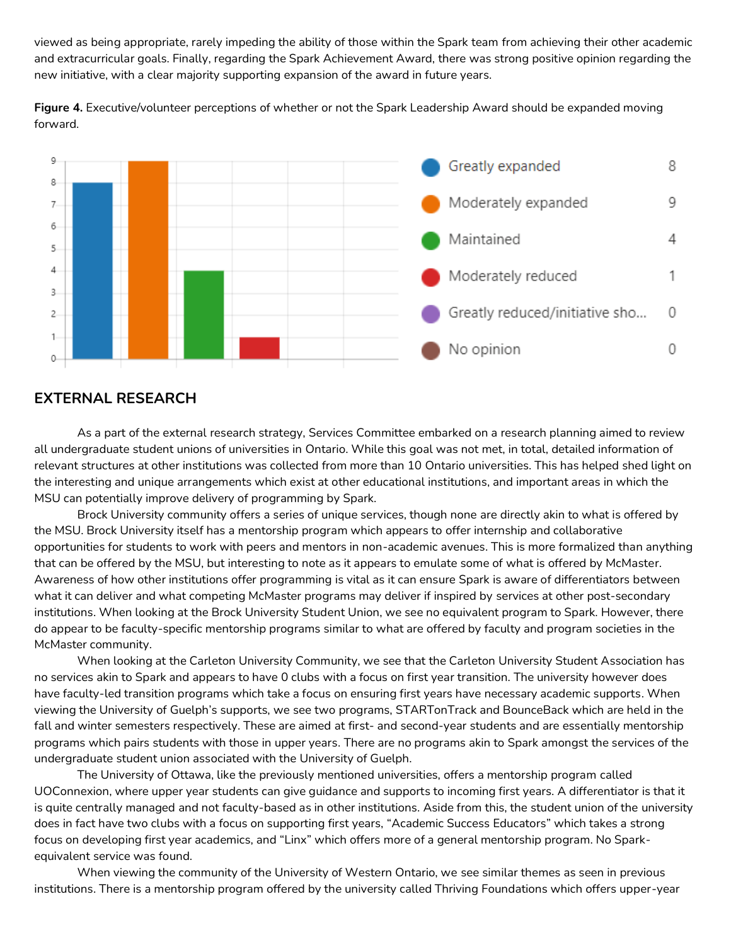viewed as being appropriate, rarely impeding the ability of those within the Spark team from achieving their other academic and extracurricular goals. Finally, regarding the Spark Achievement Award, there was strong positive opinion regarding the new initiative, with a clear majority supporting expansion of the award in future years.

**Figure 4.** Executive/volunteer perceptions of whether or not the Spark Leadership Award should be expanded moving forward.



### **EXTERNAL RESEARCH**

As a part of the external research strategy, Services Committee embarked on a research planning aimed to review all undergraduate student unions of universities in Ontario. While this goal was not met, in total, detailed information of relevant structures at other institutions was collected from more than 10 Ontario universities. This has helped shed light on the interesting and unique arrangements which exist at other educational institutions, and important areas in which the MSU can potentially improve delivery of programming by Spark.

Brock University community offers a series of unique services, though none are directly akin to what is offered by the MSU. Brock University itself has a mentorship program which appears to offer internship and collaborative opportunities for students to work with peers and mentors in non-academic avenues. This is more formalized than anything that can be offered by the MSU, but interesting to note as it appears to emulate some of what is offered by McMaster. Awareness of how other institutions offer programming is vital as it can ensure Spark is aware of differentiators between what it can deliver and what competing McMaster programs may deliver if inspired by services at other post-secondary institutions. When looking at the Brock University Student Union, we see no equivalent program to Spark. However, there do appear to be faculty-specific mentorship programs similar to what are offered by faculty and program societies in the McMaster community.

When looking at the Carleton University Community, we see that the Carleton University Student Association has no services akin to Spark and appears to have 0 clubs with a focus on first year transition. The university however does have faculty-led transition programs which take a focus on ensuring first years have necessary academic supports. When viewing the University of Guelph's supports, we see two programs, STARTonTrack and BounceBack which are held in the fall and winter semesters respectively. These are aimed at first- and second-year students and are essentially mentorship programs which pairs students with those in upper years. There are no programs akin to Spark amongst the services of the undergraduate student union associated with the University of Guelph.

The University of Ottawa, like the previously mentioned universities, offers a mentorship program called UOConnexion, where upper year students can give guidance and supports to incoming first years. A differentiator is that it is quite centrally managed and not faculty-based as in other institutions. Aside from this, the student union of the university does in fact have two clubs with a focus on supporting first years, "Academic Success Educators" which takes a strong focus on developing first year academics, and "Linx" which offers more of a general mentorship program. No Sparkequivalent service was found.

When viewing the community of the University of Western Ontario, we see similar themes as seen in previous institutions. There is a mentorship program offered by the university called Thriving Foundations which offers upper-year